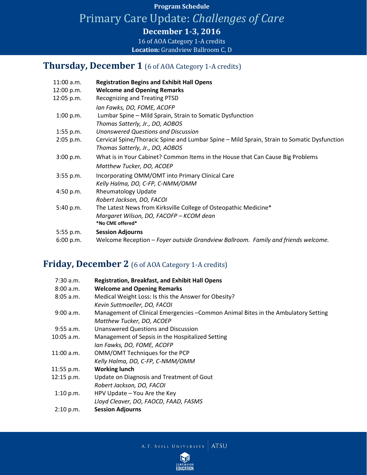## **Program Schedule**

Primary Care Update: *Challenges of Care*

**December 1-3, 2016**

16 of AOA Category 1-A credits **Location:** Grandview Ballroom C, D

#### **Thursday, December 1** (6 of AOA Category 1-A credits)

| <b>Registration Begins and Exhibit Hall Opens</b>                                           |
|---------------------------------------------------------------------------------------------|
| <b>Welcome and Opening Remarks</b>                                                          |
| <b>Recognizing and Treating PTSD</b>                                                        |
| Ian Fawks, DO, FOME, ACOFP                                                                  |
| Lumbar Spine - Mild Sprain, Strain to Somatic Dysfunction                                   |
| Thomas Satterly, Jr., DO, AOBOS                                                             |
| <b>Unanswered Questions and Discussion</b>                                                  |
| Cervical Spine/Thoracic Spine and Lumbar Spine – Mild Sprain, Strain to Somatic Dysfunction |
| Thomas Satterly, Jr., DO, AOBOS                                                             |
| What is in Your Cabinet? Common Items in the House that Can Cause Big Problems              |
| Matthew Tucker, DO, ACOEP                                                                   |
| Incorporating OMM/OMT into Primary Clinical Care                                            |
| Kelly Halma, DO, C-FP, C-NMM/OMM                                                            |
| <b>Rheumatology Update</b>                                                                  |
| Robert Jackson, DO, FACOI                                                                   |
| The Latest News from Kirksville College of Osteopathic Medicine*                            |
| Margaret Wilson, DO, FACOFP - KCOM dean                                                     |
| *No CME offered*                                                                            |
| <b>Session Adjourns</b>                                                                     |
| Welcome Reception - Foyer outside Grandview Ballroom. Family and friends welcome.           |
|                                                                                             |

#### **Friday, December 2** (6 of AOA Category 1-A credits)

| 7:30 a.m.    | <b>Registration, Breakfast, and Exhibit Hall Opens</b>                             |
|--------------|------------------------------------------------------------------------------------|
| 8:00 a.m.    | <b>Welcome and Opening Remarks</b>                                                 |
| $8:05$ a.m.  | Medical Weight Loss: Is this the Answer for Obesity?                               |
|              | Kevin Suttmoeller, DO, FACOI                                                       |
| 9:00 a.m.    | Management of Clinical Emergencies - Common Animal Bites in the Ambulatory Setting |
|              | Matthew Tucker, DO, ACOEP                                                          |
| $9:55$ a.m.  | Unanswered Questions and Discussion                                                |
| 10:05 a.m.   | Management of Sepsis in the Hospitalized Setting                                   |
|              | Ian Fawks, DO, FOME, ACOFP                                                         |
| $11:00$ a.m. | OMM/OMT Techniques for the PCP                                                     |
|              | Kelly Halma, DO, C-FP, C-NMM/OMM                                                   |
| 11:55 p.m.   | <b>Working lunch</b>                                                               |
| 12:15 p.m.   | Update on Diagnosis and Treatment of Gout                                          |
|              | Robert Jackson, DO, FACOI                                                          |
| 1:10 p.m.    | HPV Update - You Are the Key                                                       |
|              | Lloyd Cleaver, DO, FAOCD, FAAD, FASMS                                              |
| 2:10 p.m.    | <b>Session Adjourns</b>                                                            |

A.T. STILL UNIVERSITY ATSU